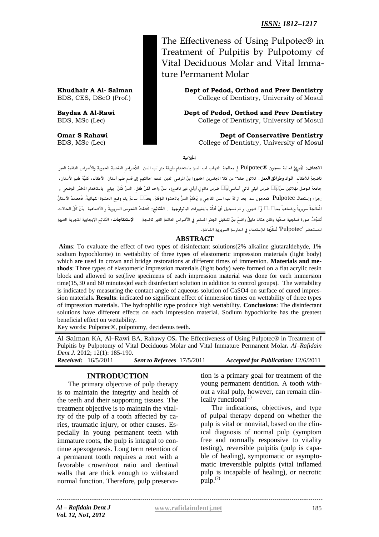*ISSN: 1812–1217* 

The Effectiveness of Using Pulpotec® in Treatment of Pulpitis by Pulpotomy of Vital Deciduous Molar and Vital Immature Permanent Molar

**Khudhair A Al- Salman Dept of Pedod, Orthod and Prev Dentistry**<br>BDS, CES, DScO (Prof.) College of Dentistry, University of Mosul College of Dentistry, University of Mosul

**Baydaa A Al-Rawi Dept of Pedod, Orthod and Prev Dentistry**  BDS, MSc (Lec) **Dentistry, University of Mosul College of Dentistry, University of Mosul** 

**Omar S Rahawi Dept of Conservative Dentistry** BDS, MSc (Lec) **College of Dentistry, University of Mosul College of Dentistry, University of Mosul** 

اخلالصة

ي<br>الاهداف: لتُم<sub></sub>يّزٌ فعالية معجون ®Pulpotec في معالجةِ التهاب لب السن باستخدام طريقة بتر لب السن للأضراس النفضيةِ الحيويةِ والأضراس الدائمةِ الغير ـاضجةِذؾألرػال.ِ **املواد وطرائق العمل:** ثالثون رػال" ؿنذؽالذاجلـسقن اختقرواذؿِنِذاملرضىذاؾذقنذ متتذاحاؾتفمذإىلذؼدمِذربِذأدـان األرػال،ذؽؾقَةذربِذاألدـان،ذ جامعة الوصل بثلاثين سنّ 15 ضرس لبني ثاني أساسي 15 ضرس دائمي أولي غير ناضج)، سنّ واحد لكلّ طفل. السنّ كَانَ يبنج باستخدام الخدّر الوضعي , إجراء وإستعمال Pulpotec كمعجون سد بعد ازالة لب السن التاجي و يَخْتمُ السنَّ بالحشوة المؤقتةِ. بعد24 ساعةِ يتم وضع الحشوة النهائيةَ. فَحصتْ الأسنانُ الُعَالَجةُ سريرياً وإشعاعياً بعد2، 4 6 \$ شهور. و تم تسجيل أيّ أدلّة بالقغييراتِ الباثولوجيةِ . اللَّتائِج: كَشفتْ الفحوص السريريةَ و الأشعاعية بأنّ كُلّ الحالات .<br>تُشوّفُ صورة فسلجية صحّية وكان هناك دليلُ واضحُ مِنْ تشكيل الجذرِ الستمر في الأضراس الدائمةِ الغيني الإستن**تاجات**: النّتائِج الإيجابية لتجربة الطبيةِ .<br>تلمستحضر 'Pulpotec' تُمكّرُها للاستعمالِ في المارسةِ السريريةِ الشاملةِ.

#### **ABSTRACT**

**Aims**: To evaluate the effect of two types of disinfectant solutions(2% alkaline glutaraldehyde, 1% sodium hypochlorite) in wettability of three types of elastomeric impression materials (light body) which are used in crown and bridge restorations at different times of immersion. **Materials and methods**: Three types of elastomeric impression materials (light body) were formed on a flat acrylic resin block and allowed to set(five specimens of each impression material was done for each immersion time(15,30 and 60 minutes)of each disinfectant solution in addition to control groups). The wettability is indicated by measuring the contact angle of aqueous solution of CaSO4 on surface of cured impression materials**. Results**: indicated no significant effect of immersion times on wettability of three types of impression materials. The hydrophilic type produce high wettability. **Conclusions**: The disinfectant solutions have different effects on each impression material. Sodium hypochlorite has the greatest beneficial effect on wettability.

Key words: Pulpotec®, pulpotomy, decideous teeth.

Al-Salman KA, Al–Rawi BA, Rahawy OS**.** The Effectiveness of Using Pulpotec® in Treatment of Pulpitis by Pulpotomy of Vital Deciduous Molar and Vital Immature Permanent Molar**.** *Al–Rafidain Dent J.* 2012; 12(1): 185-190.

*Received:* 16/5/2011 *Sent to Referees* 17/5/2011 *Accepted for Publication:* 12/6/2011

### **INTRODUCTION**

The primary objective of pulp therapy is to maintain the integrity and health of the teeth and their supporting tissues. The treatment objective is to maintain the vitality of the pulp of a tooth affected by caries, traumatic injury, or other causes. Especially in young permanent teeth with immature roots, the pulp is integral to continue apexogenesis. Long term retention of a permanent tooth requires a root with a favorable crown/root ratio and dentinal walls that are thick enough to withstand normal function. Therefore, pulp preservation is a primary goal for treatment of the young permanent dentition. A tooth without a vital pulp, however, can remain clinically functional<sup>(1)</sup>

The indications, objectives, and type of pulpal therapy depend on whether the pulp is vital or nonvital, based on the clinical diagnosis of normal pulp (symptom free and normally responsive to vitality testing), reversible pulpitis (pulp is capable of healing), symptomatic or asymptomatic irreversible pulpitis (vital inflamed pulp is incapable of healing), or necrotic  $\text{pulp.}^{(2)}$ 

*Al – Rafidain Dent J Vol. 12, No1, 2012*

**[www.rafidaindentj.net](file:///I:\7(1)%20fi\www.rafidaindentj.net)**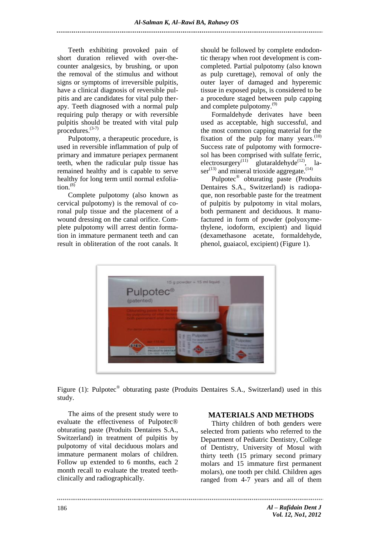Teeth exhibiting provoked pain of short duration relieved with over-thecounter analgesics, by brushing, or upon the removal of the stimulus and without signs or symptoms of irreversible pulpitis, have a clinical diagnosis of reversible pulpitis and are candidates for vital pulp therapy. Teeth diagnosed with a normal pulp requiring pulp therapy or with reversible pulpitis should be treated with vital pulp procedures.<sup>(3-7)</sup>

Pulpotomy, a therapeutic procedure, is used in reversible inflammation of pulp of primary and immature periapex permanent teeth, when the radicular pulp tissue has remained healthy and is capable to serve healthy for long term until normal exfoliation.<sup>(8)</sup>

Complete pulpotomy (also known as cervical pulpotomy) is the removal of coronal pulp tissue and the placement of a wound dressing on the canal orifice. Complete pulpotomy will arrest dentin formation in immature permanent teeth and can result in obliteration of the root canals. It should be followed by complete endodontic therapy when root development is comcompleted. Partial pulpotomy (also known as pulp curettage), removal of only the outer layer of damaged and hyperemic tissue in exposed pulps, is considered to be a procedure staged between pulp capping and complete pulpotomy.<sup>(9)</sup>

Formaldehyde derivates have been used as acceptable, high successful, and the most common capping material for the fixation of the pulp for many years. $(10)$ Success rate of pulpotomy with formocresol has been comprised with sulfate ferric, electrosurgery<sup>(11)</sup> glutaraldehyde<sup>(12)</sup>, la $ser^{(13)}$  and mineral trioxide aggregate.<sup> $(14)$ </sup>

Pulpotec® obturating paste (Produits Dentaires S.A., Switzerland) is radiopaque, non resorbable paste for the treatment of pulpitis by pulpotomy in vital molars, both permanent and deciduous. It manufactured in form of powder (polyoxymethylene, iodoform, excipient) and liquid (dexamethasone acetate, formaldehyde, phenol, guaiacol, excipient) (Figure 1).



Figure (1): Pulpotec<sup>®</sup> obturating paste (Produits Dentaires S.A., Switzerland) used in this study.

The aims of the present study were to evaluate the effectiveness of Pulpotec® obturating paste (Produits Dentaires S.A., Switzerland) in treatment of pulpitis by pulpotomy of vital deciduous molars and immature permanent molars of children. Follow up extended to 6 months, each 2 month recall to evaluate the treated teethclinically and radiographically.

# **MATERIALS AND METHODS**

Thirty children of both genders were selected from patients who referred to the Department of Pediatric Dentistry, College of Dentistry, University of Mosul with thirty teeth (15 primary second primary molars and 15 immature first permanent molars), one tooth per child. Children ages ranged from 4-7 years and all of them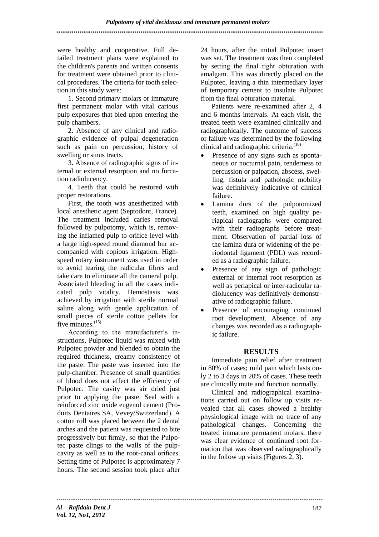were healthy and cooperative. Full detailed treatment plans were explained to the children's parents and written consents for treatment were obtained prior to clinical procedures. The criteria for tooth selection in this study were:

...........................

1. Second primary molars or immature first permanent molar with vital carious pulp exposures that bled upon entering the pulp chambers.

2. Absence of any clinical and radiographic evidence of pulpal degeneration such as pain on percussion, history of swelling or sinus tracts.

3. Absence of radiographic signs of internal or external resorption and no furcation radiolucency.

4. Teeth that could be restored with proper restorations.

First, the tooth was anesthetized with local anesthetic agent (Septodont, France). The treatment included caries removal followed by pulpotomy, which is, removing the inflamed pulp to orifice level with a large high-speed round diamond bur accompanied with copious irrigation. Highspeed rotary instrument was used in order to avoid tearing the radicular fibres and take care to eliminate all the cameral pulp. Associated bleeding in all the cases indicated pulp vitality. Hemostasis was achieved by irrigation with sterile normal saline along with gentle application of small pieces of sterile cotton pellets for five minutes.<sup>(15)</sup>

According to the manufacturer's instructions, Pulpotec liquid was mixed with Pulpotec powder and blended to obtain the required thickness, creamy consistency of the paste. The paste was inserted into the pulp-chamber. Presence of small quantities of blood does not affect the efficiency of Pulpotec. The cavity was air dried just prior to applying the paste. Seal with a reinforced zinc oxide eugenol cement (Produits Dentaires SA, Vevey/Switzerland). A cotton roll was placed between the 2 dental arches and the patient was requested to bite progressively but firmly, so that the Pulpotec paste clings to the walls of the pulpcavity as well as to the root-canal orifices. Setting time of Pulpotec is approximately 7 hours. The second session took place after

24 hours, after the initial Pulpotec insert was set. The treatment was then completed by setting the final tight obturation with amalgam. This was directly placed on the Pulpotec, leaving a thin intermediary layer of temporary cement to insulate Pulpotec from the final obturation material.

Patients were re-examined after 2, 4 and 6 months intervals. At each visit, the treated teeth were examined clinically and radiographically. The outcome of success or failure was determined by the following clinical and radiographic criteria.<sup>(16)</sup>

- Presence of any signs such as spontaneous or nocturnal pain, tenderness to percussion or palpation, abscess, swelling, fistula and pathologic mobility was definitively indicative of clinical failure.
- Lamina dura of the pulpotomized teeth, examined on high quality periapical radiographs were compared with their radiographs before treatment. Observation of partial loss of the lamina dura or widening of the periodontal ligament (PDL) was recorded as a radiographic failure.
- Presence of any sign of pathologic external or internal root resorption as well as periapical or inter-radicular radiolucency was definitively demonstrative of radiographic failure.
- Presence of encouraging continued root development. Absence of any changes was recorded as a radiographic failure.

# **RESULTS**

Immediate pain relief after treatment in 80% of cases; mild pain which lasts only 2 to 3 days in 20% of cases. These teeth are clinically mute and function normally.

Clinical and radiographical examinations carried out on follow up visits revealed that all cases showed a healthy physiological image with no trace of any pathological changes. Concerning the treated immature permanent molars, there was clear evidence of continued root formation that was observed radiographically in the follow up visits (Figures 2, 3).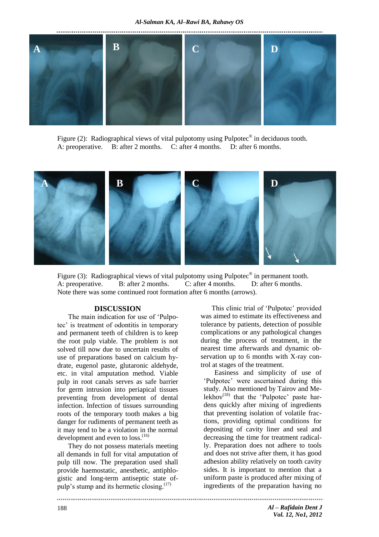

Figure (2): Radiographical views of vital pulpotomy using Pulpotec<sup>®</sup> in deciduous tooth. A: preoperative. B: after 2 months. C: after 4 months. D: after 6 months.



Figure (3): Radiographical views of vital pulpotomy using Pulpotec<sup>®</sup> in permanent tooth. A: preoperative. B: after 2 months. C: after 4 months. D: after 6 months. Note there was some continued root formation after 6 months (arrows).

#### **DISCUSSION**

The main indication for use of 'Pulpotec' is treatment of odontitis in temporary and permanent teeth of children is to keep the root pulp viable. The problem is not solved till now due to uncertain results of use of preparations based on calcium hydrate, eugenol paste, glutaronic aldehyde, etc. in vital amputation method. Viable pulp in root canals serves as safe barrier for germ intrusion into periapical tissues preventing from development of dental infection. Infection of tissues surrounding roots of the temporary tooth makes a big danger for rudiments of permanent teeth as it may tend to be a violation in the normal development and even to loss.<sup>(16)</sup>

They do not possess materials meeting all demands in full for vital amputation of pulp till now. The preparation used shall provide haemostatic, anesthetic, antiphlogistic and long-term antiseptic state ofpulp's stump and its hermetic closing.<sup>(17)</sup>

This clinic trial of 'Pulpotec' provided was aimed to estimate its effectiveness and tolerance by patients, detection of possible complications or any pathological changes during the process of treatment, in the nearest time afterwards and dynamic observation up to 6 months with X-ray control at stages of the treatment.

Easiness and simplicity of use of 'Pulpotec' were ascertained during this study. Also mentioned by Tairov and Melekhov $(18)$  that the 'Pulpotec' paste hardens quickly after mixing of ingredients that preventing isolation of volatile fractions, providing optimal conditions for depositing of cavity liner and seal and decreasing the time for treatment radically. Preparation does not adhere to tools and does not strive after them, it has good adhesion ability relatively on tooth cavity sides. It is important to mention that a uniform paste is produced after mixing of ingredients of the preparation having no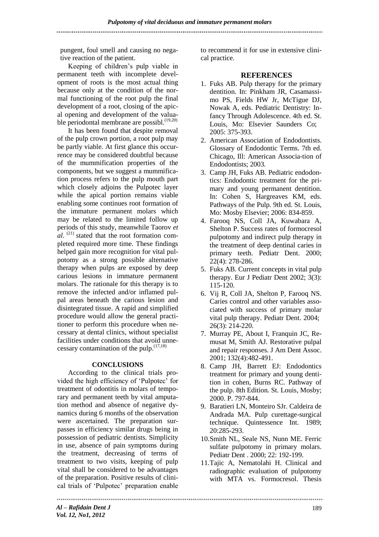pungent, foul smell and causing no negative reaction of the patient.

Keeping of children's pulp viable in permanent teeth with incomplete development of roots is the most actual thing because only at the condition of the normal functioning of the root pulp the final development of a root, closing of the apical opening and development of the valuable periodontal membrane are possibl.<sup>(19,20)</sup>

It has been found that despite removal of the pulp crown portion, a root pulp may be partly viable. At first glance this occurrence may be considered doubtful because of the mummification properties of the components, but we suggest a mummification process refers to the pulp mouth part which closely adjoins the Pulpotec layer while the apical portion remains viable enabling some continues root formation of the immature permanent molars which may be related to the limited follow up periods of this study, meanwhile Taorov *et*   $al.$  <sup>(21)</sup> stated that the root formation completed required more time. These findings helped gain more recognition for vital pulpotomy as a strong possible alternative therapy when pulps are exposed by deep carious lesions in immature permanent molars. The rationale for this therapy is to remove the infected and/or inflamed pulpal areas beneath the carious lesion and disintegrated tissue. A rapid and simplified procedure would allow the general practitioner to perform this procedure when necessary at dental clinics, without specialist facilities under conditions that avoid unnecessary contamination of the pulp. $(17,18)$ 

### **CONCLUSIONS**

According to the clinical trials provided the high efficiency of 'Pulpotec' for treatment of odontitis in molars of temporary and permanent teeth by vital amputation method and absence of negative dynamics during 6 months of the observation were ascertained. The preparation surpasses in efficiency similar drugs being in possession of pediatric dentists. Simplicity in use, absence of pain symptoms during the treatment, decreasing of terms of treatment to two visits, keeping of pulp vital shall be considered to be advantages of the preparation. Positive results of clinical trials of 'Pulpotec' preparation enable

to recommend it for use in extensive clinical practice.

## **REFERENCES**

- 1. Fuks AB. Pulp therapy for the primary dentition. In: Pinkham JR, Casamassimo PS, Fields HW Jr, McTigue DJ, Nowak A, eds. Pediatric Dentistry: Infancy Through Adolescence. 4th ed. St. Louis, Mo: Elsevier Saunders Co; 2005: 375-393.
- 2. American Association of Endodontists. Glossary of Endodontic Terms. 7th ed. Chicago, Ill: American Associa-tion of Endodontists; 2003.
- 3. Camp JH, Fuks AB. Pediatric endodontics: Endodontic treatment for the primary and young permanent dentition. In: Cohen S, Hargreaves KM, eds. Pathways of the Pulp. 9th ed. St. Louis, Mo: Mosby Elsevier; 2006: 834-859.
- 4. Farooq NS, Coll JA, Kuwabara A, Shelton P. Success rates of formocresol pulpotomy and indirect pulp therapy in the treatment of deep dentinal caries in primary teeth. Pediatr Dent. 2000; 22(4): 278-286.
- 5. Fuks AB. Current concepts in vital pulp therapy. Eur J Pediatr Dent 2002; 3(3): 115-120.
- 6. Vij R, Coll JA, Shelton P, Farooq NS. Caries control and other variables associated with success of primary molar vital pulp therapy. Pediatr Dent. 2004; 26(3): 214-220.
- 7. Murray PE, About I, Franquin JC, Remusat M, Smith AJ. Restorative pulpal and repair responses. J Am Dent Assoc. 2001; 132(4):482-491.
- 8. Camp JH, Barrett EJ: Endodontics treatment for primary and young dentition in cohen, Burns RC. Pathway of the pulp. 8th Edition. St. Louis, Mosby; 2000. P. 797-844.
- 9. Baratieri LN, Monteiro SJr. Caldeira de Andrada MA. Pulp curettage-surgical technique. Quintessence Int. 1989; 20:285-293.
- 10.Smith NL, Seale NS, Nunn ME. Ferric sulfate pulpotomy in primary molars. Pediatr Dent . 2000; 22: 192-199.
- 11.Tajic A, Nematolahi H. Clinical and radiographic evaluation of pulpotomy with MTA vs. Formocresol. Thesis